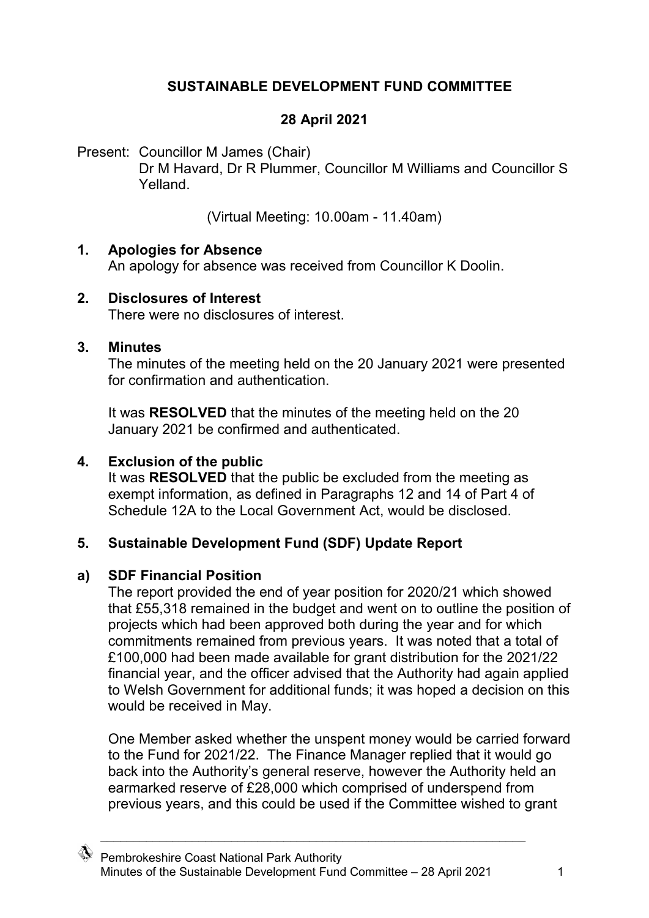## **SUSTAINABLE DEVELOPMENT FUND COMMITTEE**

## **28 April 2021**

Present: Councillor M James (Chair)

Dr M Havard, Dr R Plummer, Councillor M Williams and Councillor S Yelland.

(Virtual Meeting: 10.00am - 11.40am)

#### **1. Apologies for Absence**

An apology for absence was received from Councillor K Doolin.

#### **2. Disclosures of Interest**

There were no disclosures of interest.

#### **3. Minutes**

The minutes of the meeting held on the 20 January 2021 were presented for confirmation and authentication.

It was **RESOLVED** that the minutes of the meeting held on the 20 January 2021 be confirmed and authenticated.

## **4. Exclusion of the public**

It was **RESOLVED** that the public be excluded from the meeting as exempt information, as defined in Paragraphs 12 and 14 of Part 4 of Schedule 12A to the Local Government Act, would be disclosed.

# **5. Sustainable Development Fund (SDF) Update Report**

## **a) SDF Financial Position**

The report provided the end of year position for 2020/21 which showed that £55,318 remained in the budget and went on to outline the position of projects which had been approved both during the year and for which commitments remained from previous years. It was noted that a total of £100,000 had been made available for grant distribution for the 2021/22 financial year, and the officer advised that the Authority had again applied to Welsh Government for additional funds; it was hoped a decision on this would be received in May.

One Member asked whether the unspent money would be carried forward to the Fund for 2021/22. The Finance Manager replied that it would go back into the Authority's general reserve, however the Authority held an earmarked reserve of £28,000 which comprised of underspend from previous years, and this could be used if the Committee wished to grant

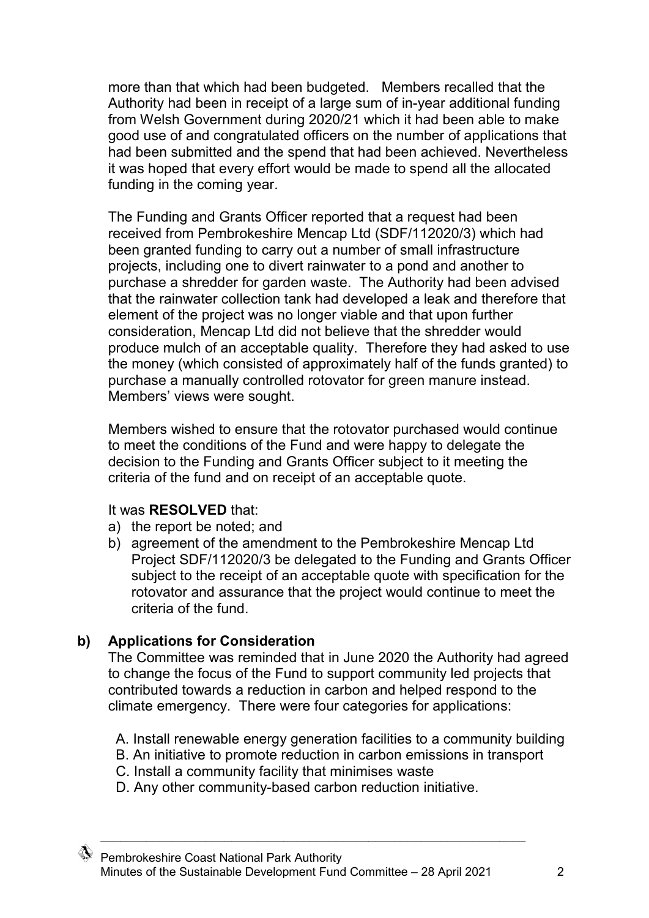more than that which had been budgeted. Members recalled that the Authority had been in receipt of a large sum of in-year additional funding from Welsh Government during 2020/21 which it had been able to make good use of and congratulated officers on the number of applications that had been submitted and the spend that had been achieved. Nevertheless it was hoped that every effort would be made to spend all the allocated funding in the coming year.

The Funding and Grants Officer reported that a request had been received from Pembrokeshire Mencap Ltd (SDF/112020/3) which had been granted funding to carry out a number of small infrastructure projects, including one to divert rainwater to a pond and another to purchase a shredder for garden waste. The Authority had been advised that the rainwater collection tank had developed a leak and therefore that element of the project was no longer viable and that upon further consideration, Mencap Ltd did not believe that the shredder would produce mulch of an acceptable quality. Therefore they had asked to use the money (which consisted of approximately half of the funds granted) to purchase a manually controlled rotovator for green manure instead. Members' views were sought.

Members wished to ensure that the rotovator purchased would continue to meet the conditions of the Fund and were happy to delegate the decision to the Funding and Grants Officer subject to it meeting the criteria of the fund and on receipt of an acceptable quote.

#### It was **RESOLVED** that:

- a) the report be noted; and
- b) agreement of the amendment to the Pembrokeshire Mencap Ltd Project SDF/112020/3 be delegated to the Funding and Grants Officer subject to the receipt of an acceptable quote with specification for the rotovator and assurance that the project would continue to meet the criteria of the fund.

## **b) Applications for Consideration**

The Committee was reminded that in June 2020 the Authority had agreed to change the focus of the Fund to support community led projects that contributed towards a reduction in carbon and helped respond to the climate emergency. There were four categories for applications:

- A. Install renewable energy generation facilities to a community building
- B. An initiative to promote reduction in carbon emissions in transport
- C. Install a community facility that minimises waste
- D. Any other community-based carbon reduction initiative.

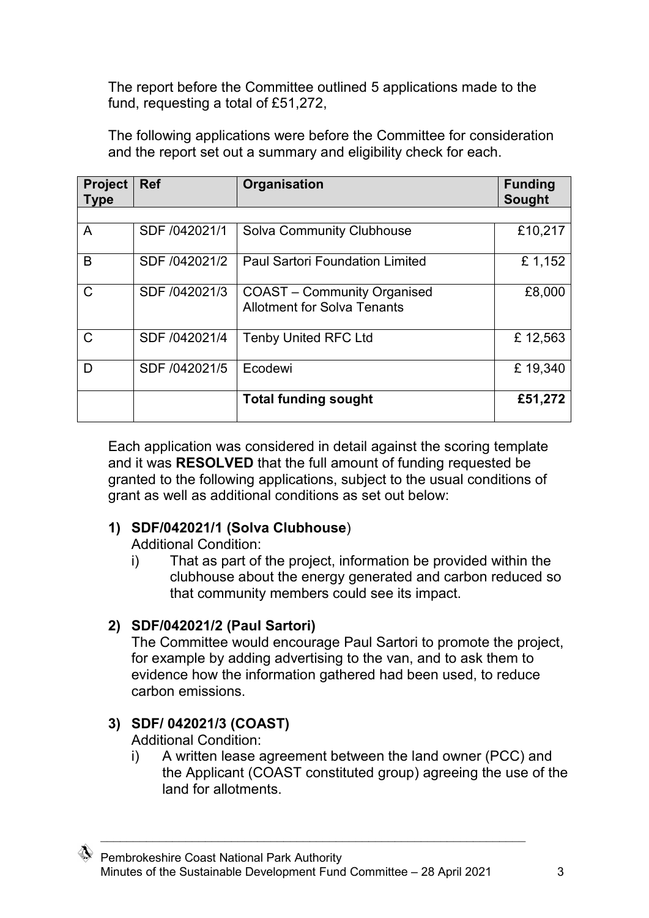The report before the Committee outlined 5 applications made to the fund, requesting a total of £51,272,

**Project Type Ref Organisation Funding Sought**  A SDF /042021/1 Solva Community Clubhouse | £10,217 B SDF /042021/2 | Paul Sartori Foundation Limited E 1,152  $\mathsf{CD}$  | SDF /042021/3 | COAST – Community Organised Allotment for Solva Tenants £8,000 C SDF /042021/4 Tenby United RFC Ltd £ 12,563 D SDF /042021/5 Ecodewi **E** 19,340 **Total funding sought £51,272**

The following applications were before the Committee for consideration and the report set out a summary and eligibility check for each.

Each application was considered in detail against the scoring template and it was **RESOLVED** that the full amount of funding requested be granted to the following applications, subject to the usual conditions of grant as well as additional conditions as set out below:

## **1) SDF/042021/1 (Solva Clubhouse**)

Additional Condition:

i) That as part of the project, information be provided within the clubhouse about the energy generated and carbon reduced so that community members could see its impact.

## **2) SDF/042021/2 (Paul Sartori)**

The Committee would encourage Paul Sartori to promote the project, for example by adding advertising to the van, and to ask them to evidence how the information gathered had been used, to reduce carbon emissions.

## **3) SDF/ 042021/3 (COAST)**

Additional Condition:

i) A written lease agreement between the land owner (PCC) and the Applicant (COAST constituted group) agreeing the use of the land for allotments.